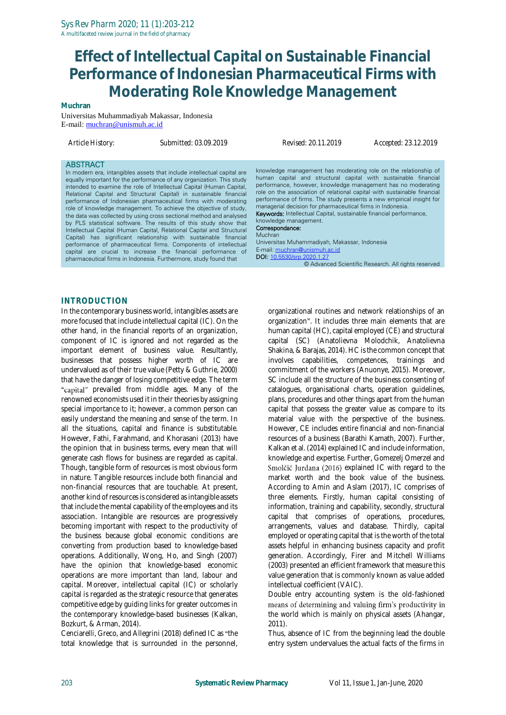# **Effect of Intellectual Capital on Sustainable Financial Performance of Indonesian Pharmaceutical Firms with Moderating Role Knowledge Management**

**Muchran**

Universitas Muhammadiyah Makassar, Indonesia E-mail: [muchran@unismuh.ac.id](mailto:muchran@unismuh.ac.id)

*Article History: Submitted: 03.09.2019 Revised: 20.11.2019 Accepted: 23.12.2019*

#### **ABSTRACT**

In modern era, intangibles assets that include intellectual capital are equally important for the performance of any organization. This study intended to examine the role of Intellectual Capital (Human Capital, Relational Capital and Structural Capital) in sustainable financial performance of Indonesian pharmaceutical firms with moderating role of knowledge management. To achieve the objective of study, the data was collected by using cross sectional method and analysed by PLS statistical software. The results of this study show that Intellectual Capital (Human Capital, Relational Capital and Structural Capital) has significant relationship with sustainable financial performance of pharmaceutical firms. Components of intellectual capital are crucial to increase the financial performance of pharmaceutical firms in Indonesia. Furthermore, study found that

knowledge management has moderating role on the relationship of human capital and structural capital with sustainable financial performance, however, knowledge management has no moderating role on the association of relational capital with sustainable financial performance of firms. The study presents a new empirical insight for managerial decision for pharmaceutical firms in Indonesia. Keywords: Intellectual Capital, sustainable financial performance, knowledge management. Correspondance: Muchran Universitas Muhammadiyah, Makassar, Indonesia

E-mail[: muchran@unismuh.ac.id](mailto:muchran@unismuh.ac.id) DOI[: 10.5530/srp.2020.1.27](http://dx.doi.org/10.5530/srp.2019.2.04) © Advanced Scientific Research. All rights reserved

#### **INTRODUCTION**

In the contemporary business world, intangibles assets are more focused that include intellectual capital (IC). On the other hand, in the financial reports of an organization, component of IC is ignored and not regarded as the important element of business value. Resultantly, businesses that possess higher worth of IC are undervalued as of their true value (Petty & Guthrie, 2000) that have the danger of losing competitive edge. The term "capital" prevailed from middle ages. Many of the renowned economists used it in their theories by assigning special importance to it; however, a common person can easily understand the meaning and sense of the term. In all the situations, capital and finance is substitutable. However, Fathi, Farahmand, and Khorasani (2013) have the opinion that in business terms, every mean that will generate cash flows for business are regarded as capital. Though, tangible form of resources is most obvious form in nature. Tangible resources include both financial and non-financial resources that are touchable. At present, another kind of resources is considered as intangible assets that include the mental capability of the employees and its association. Intangible are resources are progressively becoming important with respect to the productivity of the business because global economic conditions are converting from production based to knowledge-based operations. Additionally, Wong, Ho, and Singh (2007) have the opinion that knowledge-based economic operations are more important than land, labour and capital. Moreover, intellectual capital (IC) or scholarly capital is regarded as the strategic resource that generates competitive edge by guiding links for greater outcomes in the contemporary knowledge-based businesses (Kalkan, Bozkurt, & Arman, 2014).

Cenciarelli, Greco, and Allegrini (2018) defined IC as "the total knowledge that is surrounded in the personnel, organizational routines and network relationships of an organization". It includes three main elements that are human capital (HC), capital employed (CE) and structural capital (SC) (Anatolievna Molodchik, Anatolievna Shakina, & Barajas, 2014). HC is the common concept that involves capabilities, competences, trainings and commitment of the workers (Anuonye, 2015). Moreover, SC include all the structure of the business consenting of catalogues, organisational charts, operation guidelines, plans, procedures and other things apart from the human capital that possess the greater value as compare to its material value with the perspective of the business. However, CE includes entire financial and non-financial resources of a business (Barathi Kamath, 2007). Further, Kalkan et al. (2014) explained IC and include information, knowledge and expertise. Further, Gomezelj Omerzel and Smolčić Jurdana (2016) explained IC with regard to the market worth and the book value of the business. According to Amin and Aslam (2017), IC comprises of three elements. Firstly, human capital consisting of information, training and capability, secondly, structural capital that comprises of operations, procedures, arrangements, values and database. Thirdly, capital employed or operating capital that is the worth of the total assets helpful in enhancing business capacity and profit generation. Accordingly, Firer and Mitchell Williams (2003) presented an efficient framework that measure this value generation that is commonly known as value added intellectual coefficient (VAIC).

Double entry accounting system is the old-fashioned means of determining and valuing firm's productivity in the world which is mainly on physical assets (Ahangar, 2011).

Thus, absence of IC from the beginning lead the double entry system undervalues the actual facts of the firms in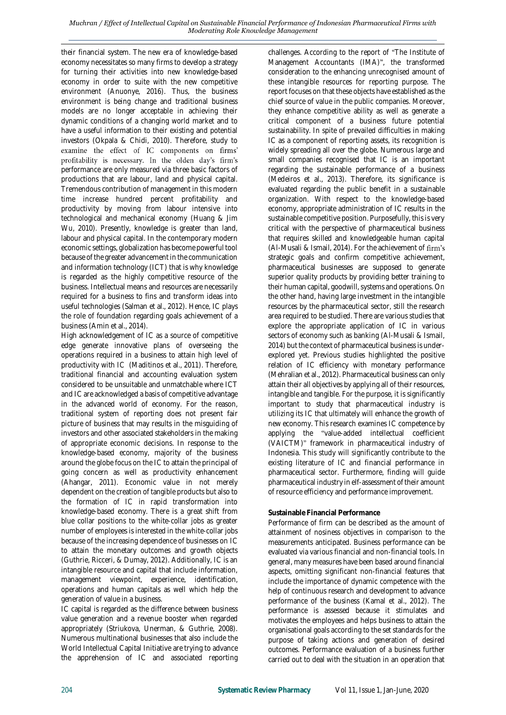their financial system. The new era of knowledge-based economy necessitates so many firms to develop a strategy for turning their activities into new knowledge-based economy in order to suite with the new competitive environment (Anuonye, 2016). Thus, the business environment is being change and traditional business models are no longer acceptable in achieving their dynamic conditions of a changing world market and to have a useful information to their existing and potential investors (Okpala & Chidi, 2010). Therefore, study to examine the effect of IC components on firms' profitability is necessary. In the olden day's firm's performance are only measured via three basic factors of productions that are labour, land and physical capital. Tremendous contribution of management in this modern time increase hundred percent profitability and productivity by moving from labour intensive into technological and mechanical economy (Huang & Jim Wu, 2010). Presently, knowledge is greater than land, labour and physical capital. In the contemporary modern economic settings, globalization has become powerful tool because of the greater advancement in the communication and information technology (ICT) that is why knowledge is regarded as the highly competitive resource of the business. Intellectual means and resources are necessarily required for a business to fins and transform ideas into useful technologies (Salman et al., 2012). Hence, IC plays the role of foundation regarding goals achievement of a business (Amin et al., 2014).

High acknowledgement of IC as a source of competitive edge generate innovative plans of overseeing the operations required in a business to attain high level of productivity with IC (Maditinos et al., 2011). Therefore, traditional financial and accounting evaluation system considered to be unsuitable and unmatchable where ICT and IC are acknowledged a basis of competitive advantage in the advanced world of economy. For the reason, traditional system of reporting does not present fair picture of business that may results in the misguiding of investors and other associated stakeholders in the making of appropriate economic decisions. In response to the knowledge-based economy, majority of the business around the globe focus on the IC to attain the principal of going concern as well as productivity enhancement (Ahangar, 2011). Economic value in not merely dependent on the creation of tangible products but also to the formation of IC in rapid transformation into knowledge-based economy. There is a great shift from blue collar positions to the white-collar jobs as greater number of employees is interested in the white-collar jobs because of the increasing dependence of businesses on IC to attain the monetary outcomes and growth objects (Guthrie, Ricceri, & Dumay, 2012). Additionally, IC is an intangible resource and capital that include information, management viewpoint, experience, identification, operations and human capitals as well which help the generation of value in a business.

IC capital is regarded as the difference between business value generation and a revenue booster when regarded appropriately (Striukova, Unerman, & Guthrie, 2008). Numerous multinational businesses that also include the World Intellectual Capital Initiative are trying to advance the apprehension of IC and associated reporting

challenges. According to the report of "The Institute of Management Accountants (IMA)", the transformed consideration to the enhancing unrecognised amount of these intangible resources for reporting purpose. The report focuses on that these objects have established as the chief source of value in the public companies. Moreover, they enhance competitive ability as well as generate a critical component of a business future potential sustainability. In spite of prevailed difficulties in making IC as a component of reporting assets, its recognition is widely spreading all over the globe. Numerous large and small companies recognised that IC is an important regarding the sustainable performance of a business (Medeiros et al., 2013). Therefore, its significance is evaluated regarding the public benefit in a sustainable organization. With respect to the knowledge-based economy, appropriate administration of IC results in the sustainable competitive position. Purposefully, this is very critical with the perspective of pharmaceutical business that requires skilled and knowledgeable human capital (Al-Musali & Ismail, 2014). For the achievement of firm's strategic goals and confirm competitive achievement, pharmaceutical businesses are supposed to generate superior quality products by providing better training to their human capital, goodwill, systems and operations. On the other hand, having large investment in the intangible resources by the pharmaceutical sector, still the research area required to be studied. There are various studies that explore the appropriate application of IC in various sectors of economy such as banking (Al-Musali & Ismail, 2014) but the context of pharmaceutical business is underexplored yet. Previous studies highlighted the positive relation of IC efficiency with monetary performance (Mehralian et al., 2012). Pharmaceutical business can only attain their all objectives by applying all of their resources, intangible and tangible. For the purpose, it is significantly important to study that pharmaceutical industry is utilizing its IC that ultimately will enhance the growth of new economy. This research examines IC competence by applying the "value-added intellectual coefficient (VAICTM)" framework in pharmaceutical industry of Indonesia. This study will significantly contribute to the existing literature of IC and financial performance in pharmaceutical sector. Furthermore, finding will guide pharmaceutical industry in elf-assessment of their amount of resource efficiency and performance improvement.

### **Sustainable Financial Performance**

Performance of firm can be described as the amount of attainment of nosiness objectives in comparison to the measurements anticipated. Business performance can be evaluated via various financial and non-financial tools. In general, many measures have been based around financial aspects, omitting significant non-financial features that include the importance of dynamic competence with the help of continuous research and development to advance performance of the business (Kamal et al., 2012). The performance is assessed because it stimulates and motivates the employees and helps business to attain the organisational goals according to the set standards for the purpose of taking actions and generation of desired outcomes. Performance evaluation of a business further carried out to deal with the situation in an operation that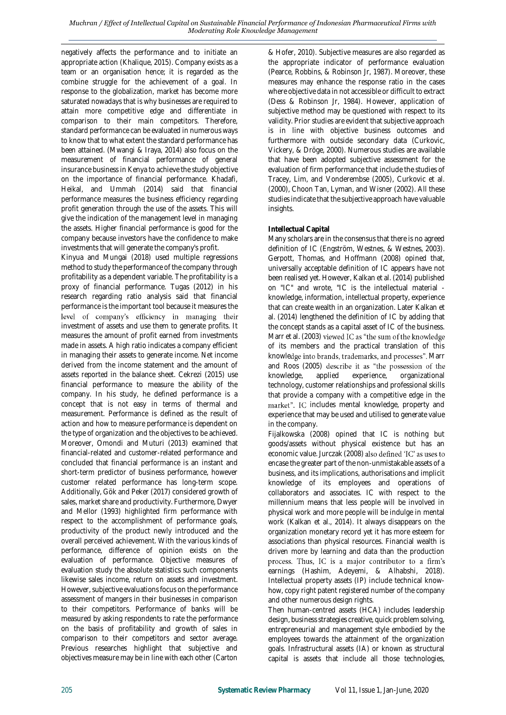negatively affects the performance and to initiate an appropriate action (Khalique, 2015). Company exists as a team or an organisation hence; it is regarded as the combine struggle for the achievement of a goal. In response to the globalization, market has become more saturated nowadays that is why businesses are required to attain more competitive edge and differentiate in comparison to their main competitors. Therefore, standard performance can be evaluated in numerous ways to know that to what extent the standard performance has been attained. (Mwangi & Iraya, 2014) also focus on the measurement of financial performance of general insurance business in Kenya to achieve the study objective on the importance of financial performance. Khadafi, Heikal, and Ummah (2014) said that financial performance measures the business efficiency regarding profit generation through the use of the assets. This will give the indication of the management level in managing the assets. Higher financial performance is good for the company because investors have the confidence to make investments that will generate the company's profit.

Kinyua and Mungai (2018) used multiple regressions method to study the performance of the company through profitability as a dependent variable. The profitability is a proxy of financial performance. Tugas (2012) in his research regarding ratio analysis said that financial performance is the important tool because it measures the level of company's efficiency in managing their investment of assets and use them to generate profits. It measures the amount of profit earned from investments made in assets. A high ratio indicates a company efficient in managing their assets to generate income. Net income derived from the income statement and the amount of assets reported in the balance sheet. Cekrezi (2015) use financial performance to measure the ability of the company. In his study, he defined performance is a concept that is not easy in terms of thermal and measurement. Performance is defined as the result of action and how to measure performance is dependent on the type of organization and the objectives to be achieved. Moreover, Omondi and Muturi (2013) examined that financial-related and customer-related performance and concluded that financial performance is an instant and short-term predictor of business performance, however customer related performance has long-term scope. Additionally, Gök and Peker (2017) considered growth of sales, market share and productivity. Furthermore, Dwyer and Mellor (1993) highlighted firm performance with respect to the accomplishment of performance goals, productivity of the product newly introduced and the overall perceived achievement. With the various kinds of performance, difference of opinion exists on the evaluation of performance. Objective measures of evaluation study the absolute statistics such components likewise sales income, return on assets and investment. However, subjective evaluations focus on the performance assessment of mangers in their businesses in comparison to their competitors. Performance of banks will be measured by asking respondents to rate the performance on the basis of profitability and growth of sales in comparison to their competitors and sector average. Previous researches highlight that subjective and objectives measure may be in line with each other (Carton

& Hofer, 2010). Subjective measures are also regarded as the appropriate indicator of performance evaluation (Pearce, Robbins, & Robinson Jr, 1987). Moreover, these measures may enhance the response ratio in the cases where objective data in not accessible or difficult to extract (Dess & Robinson Jr, 1984). However, application of subjective method may be questioned with respect to its validity. Prior studies are evident that subjective approach is in line with objective business outcomes and furthermore with outside secondary data (Curkovic, Vickery, & Dröge, 2000). Numerous studies are available that have been adopted subjective assessment for the evaluation of firm performance that include the studies of Tracey, Lim, and Vonderembse (2005), Curkovic et al. (2000), Choon Tan, Lyman, and Wisner (2002). All these studies indicate that the subjective approach have valuable insights.

## **Intellectual Capital**

Many scholars are in the consensus that there is no agreed definition of IC (Engström, Westnes, & Westnes, 2003). Gerpott, Thomas, and Hoffmann (2008) opined that, universally acceptable definition of IC appears have not been realised yet. However, Kalkan et al. (2014) published on "IC" and wrote, "IC is the intellectual material knowledge, information, intellectual property, experience that can create wealth in an organization. Later Kalkan et al. (2014) lengthened the definition of IC by adding that the concept stands as a capital asset of IC of the business. Marr et al. (2003) viewed IC as "the sum of the knowledge of its members and the practical translation of this knowledge into brands, trademarks, and processes". Marr and Roos (2005) describe it as "the possession of the knowledge, applied experience, organizational technology, customer relationships and professional skills that provide a company with a competitive edge in the market". IC includes mental knowledge, property and experience that may be used and utilised to generate value in the company.

Fijalkowska (2008) opined that IC is nothing but goods/assets without physical existence but has an economic value. Jurczak (2008) also defined 'IC' as uses to encase the greater part of the non-unmistakable assets of a business, and its implications, authorisations and implicit knowledge of its employees and operations of collaborators and associates. IC with respect to the millennium means that less people will be involved in physical work and more people will be indulge in mental work (Kalkan et al., 2014). It always disappears on the organization monetary record yet it has more esteem for associations than physical resources. Financial wealth is driven more by learning and data than the production process. Thus, IC is a major contributor to a firm's earnings (Hashim, Adeyemi, & Alhabshi, 2018). Intellectual property assets (IP) include technical knowhow, copy right patent registered number of the company and other numerous design rights.

Then human-centred assets (HCA) includes leadership design, business strategies creative, quick problem solving, entrepreneurial and management style embodied by the employees towards the attainment of the organization goals. Infrastructural assets (IA) or known as structural capital is assets that include all those technologies,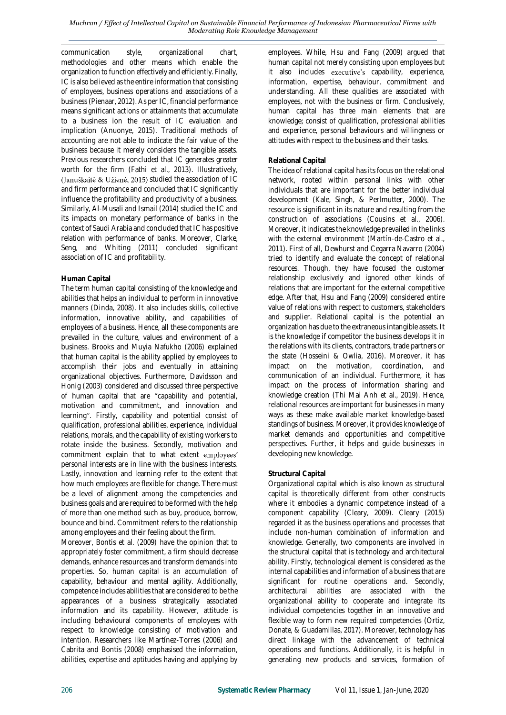#### *Muchran / Effect of Intellectual Capital on Sustainable Financial Performance of Indonesian Pharmaceutical Firms with Moderating Role Knowledge Management*

communication style, organizational chart, methodologies and other means which enable the organization to function effectively and efficiently. Finally, IC is also believed as the entire information that consisting of employees, business operations and associations of a business (Pienaar, 2012). As per IC, financial performance means significant actions or attainments that accumulate to a business ion the result of IC evaluation and implication (Anuonye, 2015). Traditional methods of accounting are not able to indicate the fair value of the business because it merely considers the tangible assets. Previous researchers concluded that IC generates greater worth for the firm (Fathi et al., 2013). Illustratively, (Januškaitė & Užienė, 2015) studied the association of IC and firm performance and concluded that IC significantly influence the profitability and productivity of a business. Similarly, Al-Musali and Ismail (2014) studied the IC and its impacts on monetary performance of banks in the context of Saudi Arabia and concluded that IC has positive relation with performance of banks. Moreover, Clarke, Seng, and Whiting (2011) concluded significant association of IC and profitability.

## **Human Capital**

The term human capital consisting of the knowledge and abilities that helps an individual to perform in innovative manners (Dinda, 2008). It also includes skills, collective information, innovative ability, and capabilities of employees of a business. Hence, all these components are prevailed in the culture, values and environment of a business. Brooks and Muyia Nafukho (2006) explained that human capital is the ability applied by employees to accomplish their jobs and eventually in attaining organizational objectives. Furthermore, Davidsson and Honig (2003) considered and discussed three perspective of human capital that are "capability and potential, motivation and commitment, and innovation and learning". Firstly, capability and potential consist of qualification, professional abilities, experience, individual relations, morals, and the capability of existing workers to rotate inside the business. Secondly, motivation and commitment explain that to what extent employees' personal interests are in line with the business interests. Lastly, innovation and learning refer to the extent that how much employees are flexible for change. There must be a level of alignment among the competencies and business goals and are required to be formed with the help of more than one method such as buy, produce, borrow, bounce and bind. Commitment refers to the relationship among employees and their feeling about the firm.

Moreover, Bontis et al. (2009) have the opinion that to appropriately foster commitment, a firm should decrease demands, enhance resources and transform demands into properties. So, human capital is an accumulation of capability, behaviour and mental agility. Additionally, competence includes abilities that are considered to be the appearances of a business strategically associated information and its capability. However, attitude is including behavioural components of employees with respect to knowledge consisting of motivation and intention. Researchers like Martínez-Torres (2006) and Cabrita and Bontis (2008) emphasised the information, abilities, expertise and aptitudes having and applying by

employees. While, Hsu and Fang (2009) argued that human capital not merely consisting upon employees but it also includes executive's capability, experience, information, expertise, behaviour, commitment and understanding. All these qualities are associated with employees, not with the business or firm. Conclusively, human capital has three main elements that are knowledge; consist of qualification, professional abilities and experience, personal behaviours and willingness or attitudes with respect to the business and their tasks.

## **Relational Capital**

The idea of relational capital has its focus on the relational network, rooted within personal links with other individuals that are important for the better individual development (Kale, Singh, & Perlmutter, 2000). The resource is significant in its nature and resulting from the construction of associations (Cousins et al., 2006). Moreover, it indicates the knowledge prevailed in the links with the external environment (Martín-de-Castro et al., 2011). First of all, Dewhurst and Cegarra Navarro (2004) tried to identify and evaluate the concept of relational resources. Though, they have focused the customer relationship exclusively and ignored other kinds of relations that are important for the external competitive edge. After that, Hsu and Fang (2009) considered entire value of relations with respect to customers, stakeholders and supplier. Relational capital is the potential an organization has due to the extraneous intangible assets. It is the knowledge if competitor the business develops it in the relations with its clients, contractors, trade partners or the state (Hosseini & Owlia, 2016). Moreover, it has impact on the motivation, coordination, and communication of an individual. Furthermore, it has impact on the process of information sharing and knowledge creation (Thi Mai Anh et al., 2019). Hence, relational resources are important for businesses in many ways as these make available market knowledge-based standings of business. Moreover, it provides knowledge of market demands and opportunities and competitive perspectives. Further, it helps and guide businesses in developing new knowledge.

### **Structural Capital**

Organizational capital which is also known as structural capital is theoretically different from other constructs where it embodies a dynamic competence instead of a component capability (Cleary, 2009). Cleary (2015) regarded it as the business operations and processes that include non-human combination of information and knowledge. Generally, two components are involved in the structural capital that is technology and architectural ability. Firstly, technological element is considered as the internal capabilities and information of a business that are significant for routine operations and. Secondly, architectural abilities are associated with the organizational ability to cooperate and integrate its individual competencies together in an innovative and flexible way to form new required competencies (Ortiz, Donate, & Guadamillas, 2017). Moreover, technology has direct linkage with the advancement of technical operations and functions. Additionally, it is helpful in generating new products and services, formation of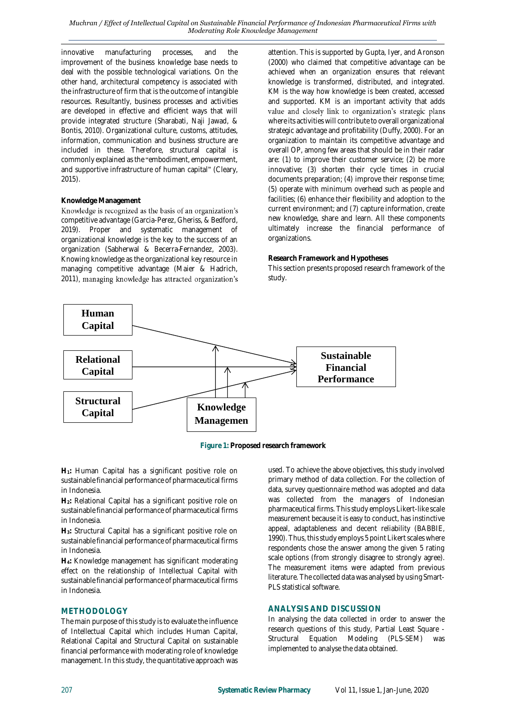innovative manufacturing processes, and the improvement of the business knowledge base needs to deal with the possible technological variations. On the other hand, architectural competency is associated with the infrastructure of firm that is the outcome of intangible resources. Resultantly, business processes and activities are developed in effective and efficient ways that will provide integrated structure (Sharabati, Naji Jawad, & Bontis, 2010). Organizational culture, customs, attitudes, information, communication and business structure are included in these. Therefore, structural capital is commonly explained as the "embodiment, empowerment, and supportive infrastructure of human capital" (Cleary, 2015).

## **Knowledge Management**

Knowledge is recognized as the basis of an organization's competitive advantage (Garcia-Perez, Gheriss, & Bedford, 2019). Proper and systematic management of organizational knowledge is the key to the success of an organization (Sabherwal & Becerra‐Fernandez, 2003). Knowing knowledge as the organizational key resource in managing competitive advantage (Maier & Hadrich, 2011), managing knowledge has attracted organization's attention. This is supported by Gupta, Iyer, and Aronson (2000) who claimed that competitive advantage can be achieved when an organization ensures that relevant knowledge is transformed, distributed, and integrated. KM is the way how knowledge is been created, accessed and supported. KM is an important activity that adds value and closely link to organization's strategic plans where its activities will contribute to overall organizational strategic advantage and profitability (Duffy, 2000). For an organization to maintain its competitive advantage and overall OP, among few areas that should be in their radar are: (1) to improve their customer service; (2) be more innovative; (3) shorten their cycle times in crucial documents preparation; (4) improve their response time; (5) operate with minimum overhead such as people and facilities; (6) enhance their flexibility and adoption to the current environment; and (7) capture information, create new knowledge, share and learn. All these components ultimately increase the financial performance of organizations.

#### **Research Framework and Hypotheses**

This section presents proposed research framework of the study.



**Figure 1: Proposed research framework**

**H1:** Human Capital has a significant positive role on sustainable financial performance of pharmaceutical firms in Indonesia.

**H2:** Relational Capital has a significant positive role on sustainable financial performance of pharmaceutical firms in Indonesia.

**H3:** Structural Capital has a significant positive role on sustainable financial performance of pharmaceutical firms in Indonesia.

**H4:** Knowledge management has significant moderating effect on the relationship of Intellectual Capital with sustainable financial performance of pharmaceutical firms in Indonesia.

## **METHODOLOGY**

The main purpose of this study is to evaluate the influence of Intellectual Capital which includes Human Capital, Relational Capital and Structural Capital on sustainable financial performance with moderating role of knowledge management. In this study, the quantitative approach was

used. To achieve the above objectives, this study involved primary method of data collection. For the collection of data, survey questionnaire method was adopted and data was collected from the managers of Indonesian pharmaceutical firms. This study employs Likert-like scale measurement because it is easy to conduct, has instinctive appeal, adaptableness and decent reliability (BABBIE, 1990). Thus, this study employs 5 point Likert scales where respondents chose the answer among the given 5 rating scale options (from strongly disagree to strongly agree). The measurement items were adapted from previous literature. The collected data was analysed by using Smart-PLS statistical software.

## **ANALYSIS AND DISCUSSION**

In analysing the data collected in order to answer the research questions of this study, Partial Least Square - Structural Equation Modeling (PLS-SEM) was implemented to analyse the data obtained.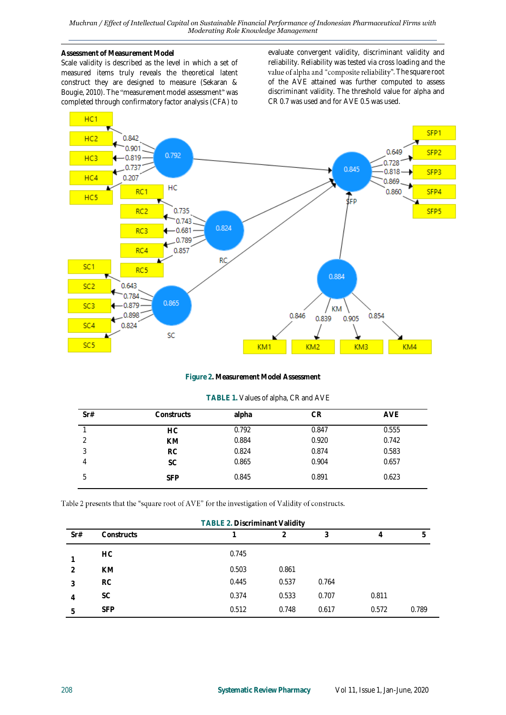*Muchran / Effect of Intellectual Capital on Sustainable Financial Performance of Indonesian Pharmaceutical Firms with Moderating Role Knowledge Management*

#### **Assessment of Measurement Model**

Scale validity is described as the level in which a set of measured items truly reveals the theoretical latent construct they are designed to measure (Sekaran & Bougie, 2010). The "measurement model assessment" was completed through confirmatory factor analysis (CFA) to evaluate convergent validity, discriminant validity and reliability. Reliability was tested via cross loading and the value of alpha and "composite reliability". The square root of the AVE attained was further computed to assess discriminant validity. The threshold value for alpha and CR 0.7 was used and for AVE 0.5 was used.



**Figure 2. Measurement Model Assessment**

| Sr# | Constructs | alpha | CR    | <b>AVE</b> |
|-----|------------|-------|-------|------------|
|     | <b>HC</b>  | 0.792 | 0.847 | 0.555      |
|     | <b>KM</b>  | 0.884 | 0.920 | 0.742      |
| ્ર  | <b>RC</b>  | 0.824 | 0.874 | 0.583      |
| 4   | <b>SC</b>  | 0.865 | 0.904 | 0.657      |
| 5   | <b>SFP</b> | 0.845 | 0.891 | 0.623      |

#### Table 2 presents that the "square root of AVE" for the investigation of Validity of constructs.

| <b>TABLE 2. Discriminant Validity</b> |            |       |                |       |       |       |
|---------------------------------------|------------|-------|----------------|-------|-------|-------|
| Sr#                                   | Constructs |       | $\overline{2}$ | 3     | 4     | b     |
|                                       | HC.        | 0.745 |                |       |       |       |
|                                       | <b>KM</b>  | 0.503 | 0.861          |       |       |       |
| 3                                     | <b>RC</b>  | 0.445 | 0.537          | 0.764 |       |       |
| 4                                     | <b>SC</b>  | 0.374 | 0.533          | 0.707 | 0.811 |       |
| 5                                     | <b>SFP</b> | 0.512 | 0.748          | 0.617 | 0.572 | 0.789 |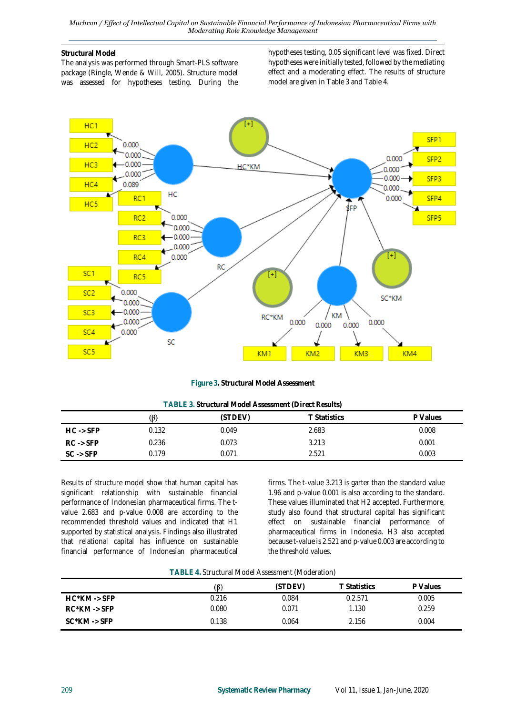## **Structural Model**

The analysis was performed through Smart-PLS software package (Ringle, Wende & Will, 2005). Structure model was assessed for hypotheses testing. During the hypotheses testing, 0.05 significant level was fixed. Direct hypotheses were initially tested, followed by the mediating effect and a moderating effect. The results of structure model are given in Table 3 and Table 4.



**Figure 3. Structural Model Assessment**

| TABLE 3. Structural Model Assessment (Direct Results) |  |  |  |  |  |  |
|-------------------------------------------------------|--|--|--|--|--|--|
|-------------------------------------------------------|--|--|--|--|--|--|

|                      | (ß)   | (STDEV) | <b>T</b> Statistics | P Values |  |
|----------------------|-------|---------|---------------------|----------|--|
| $HC \rightarrow SFP$ | 0.132 | 0.049   | 2.683               | 0.008    |  |
| $RC \rightarrow SFP$ | 0.236 | 0.073   | 3.213               | 0.001    |  |
| $SC \rightarrow SFP$ | 0.179 | 0.071   | 2.521               | 0.003    |  |

Results of structure model show that human capital has significant relationship with sustainable financial performance of Indonesian pharmaceutical firms. The tvalue 2.683 and p-value 0.008 are according to the recommended threshold values and indicated that H1 supported by statistical analysis. Findings also illustrated that relational capital has influence on sustainable financial performance of Indonesian pharmaceutical

firms. The t-value 3.213 is garter than the standard value 1.96 and p-value 0.001 is also according to the standard. These values illuminated that H2 accepted. Furthermore, study also found that structural capital has significant effect on sustainable financial performance of pharmaceutical firms in Indonesia. H3 also accepted because t-value is 2.521 and p-value 0.003 are according to the threshold values.

| TABLE 4. Structural Model Assessment (Moderation) |  |  |  |
|---------------------------------------------------|--|--|--|
|---------------------------------------------------|--|--|--|

|                          | $(\beta)$ | (STDEV) | T Statistics | P Values |
|--------------------------|-----------|---------|--------------|----------|
| $HC^*KM \rightarrow SFP$ | 0.216     | 0.084   | 0.2.571      | 0.005    |
| $RC^*KM \rightarrow SFP$ | 0.080     | 0.071   | 1.130        | 0.259    |
| $SC^*KM \rightarrow SFP$ | 0.138     | 0.064   | 2.156        | 0.004    |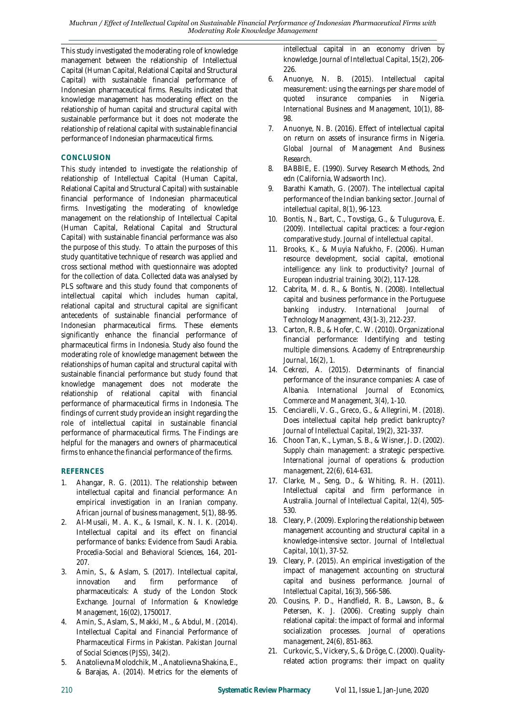This study investigated the moderating role of knowledge management between the relationship of Intellectual Capital (Human Capital, Relational Capital and Structural Capital) with sustainable financial performance of Indonesian pharmaceutical firms. Results indicated that knowledge management has moderating effect on the relationship of human capital and structural capital with sustainable performance but it does not moderate the relationship of relational capital with sustainable financial performance of Indonesian pharmaceutical firms.

## **CONCLUSION**

This study intended to investigate the relationship of relationship of Intellectual Capital (Human Capital, Relational Capital and Structural Capital) with sustainable financial performance of Indonesian pharmaceutical firms. Investigating the moderating of knowledge management on the relationship of Intellectual Capital (Human Capital, Relational Capital and Structural Capital) with sustainable financial performance was also the purpose of this study. To attain the purposes of this study quantitative technique of research was applied and cross sectional method with questionnaire was adopted for the collection of data. Collected data was analysed by PLS software and this study found that components of intellectual capital which includes human capital, relational capital and structural capital are significant antecedents of sustainable financial performance of Indonesian pharmaceutical firms. These elements significantly enhance the financial performance of pharmaceutical firms in Indonesia. Study also found the moderating role of knowledge management between the relationships of human capital and structural capital with sustainable financial performance but study found that knowledge management does not moderate the relationship of relational capital with financial performance of pharmaceutical firms in Indonesia. The findings of current study provide an insight regarding the role of intellectual capital in sustainable financial performance of pharmaceutical firms. The Findings are helpful for the managers and owners of pharmaceutical firms to enhance the financial performance of the firms.

# **REFERNCES**

- 1. Ahangar, R. G. (2011). The relationship between intellectual capital and financial performance: An empirical investigation in an Iranian company. *African journal of business management, 5*(1), 88-95.
- 2. Al-Musali, M. A. K., & Ismail, K. N. I. K. (2014). Intellectual capital and its effect on financial performance of banks: Evidence from Saudi Arabia. *Procedia-Social and Behavioral Sciences, 164*, 201- 207.
- 3. Amin, S., & Aslam, S. (2017). Intellectual capital, innovation and firm performance of pharmaceuticals: A study of the London Stock Exchange. *Journal of Information & Knowledge Management, 16*(02), 1750017.
- 4. Amin, S., Aslam, S., Makki, M., & Abdul, M. (2014). Intellectual Capital and Financial Performance of Pharmaceutical Firms in Pakistan. *Pakistan Journal of Social Sciences (PJSS), 34*(2).
- 5. Anatolievna Molodchik, M., Anatolievna Shakina, E., & Barajas, A. (2014). Metrics for the elements of

intellectual capital in an economy driven by knowledge. *Journal of Intellectual Capital, 15*(2), 206- 226.

- 6. Anuonye, N. B. (2015). Intellectual capital measurement: using the earnings per share model of quoted insurance companies in Nigeria. *International Business and Management, 10*(1), 88- 98.
- 7. Anuonye, N. B. (2016). Effect of intellectual capital on return on assets of insurance firms in Nigeria. *Global Journal of Management And Business Research*.
- 8. BABBIE, E. (1990). Survey Research Methods, 2nd edn (California, Wadsworth Inc).
- 9. Barathi Kamath, G. (2007). The intellectual capital performance of the Indian banking sector. *Journal of intellectual capital, 8*(1), 96-123.
- 10. Bontis, N., Bart, C., Tovstiga, G., & Tulugurova, E. (2009). Intellectual capital practices: a four-region comparative study. *Journal of intellectual capital*.
- 11. Brooks, K., & Muyia Nafukho, F. (2006). Human resource development, social capital, emotional intelligence: any link to productivity? *Journal of European industrial training, 30*(2), 117-128.
- 12. Cabrita, M. d. R., & Bontis, N. (2008). Intellectual capital and business performance in the Portuguese banking industry. *International Journal of Technology Management, 43*(1-3), 212-237.
- 13. Carton, R. B., & Hofer, C. W. (2010). Organizational financial performance: Identifying and testing multiple dimensions. *Academy of Entrepreneurship Journal, 16*(2), 1.
- 14. Cekrezi, A. (2015). Determinants of financial performance of the insurance companies: A case of Albania. *International Journal of Economics, Commerce and Management, 3*(4), 1-10.
- 15. Cenciarelli, V. G., Greco, G., & Allegrini, M. (2018). Does intellectual capital help predict bankruptcy? *Journal of Intellectual Capital, 19*(2), 321-337.
- 16. Choon Tan, K., Lyman, S. B., & Wisner, J. D. (2002). Supply chain management: a strategic perspective. *International journal of operations & production management, 22*(6), 614-631.
- 17. Clarke, M., Seng, D., & Whiting, R. H. (2011). Intellectual capital and firm performance in Australia. *Journal of Intellectual Capital, 12*(4), 505- 530.
- 18. Cleary, P. (2009). Exploring the relationship between management accounting and structural capital in a knowledge-intensive sector. *Journal of Intellectual Capital, 10*(1), 37-52.
- 19. Cleary, P. (2015). An empirical investigation of the impact of management accounting on structural capital and business performance. *Journal of Intellectual Capital, 16*(3), 566-586.
- 20. Cousins, P. D., Handfield, R. B., Lawson, B., & Petersen, K. J. (2006). Creating supply chain relational capital: the impact of formal and informal socialization processes. *Journal of operations management, 24*(6), 851-863.
- 21. Curkovic, S., Vickery, S., & Dröge, C. (2000). Quality‐ related action programs: their impact on quality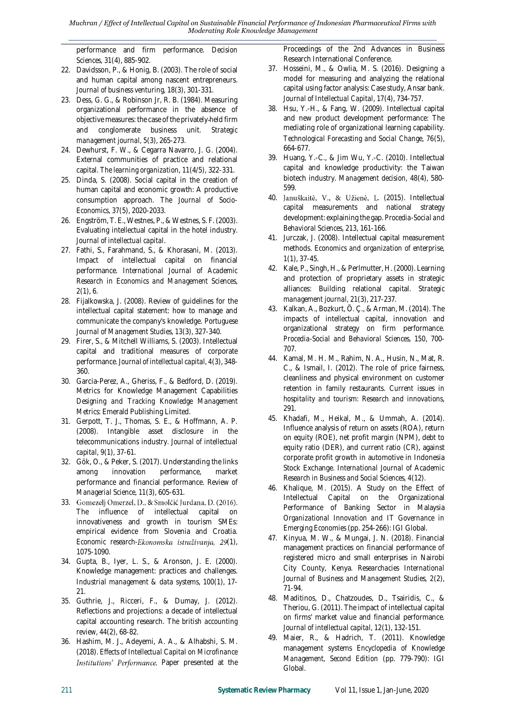performance and firm performance. *Decision Sciences, 31*(4), 885-902.

- 22. Davidsson, P., & Honig, B. (2003). The role of social and human capital among nascent entrepreneurs. *Journal of business venturing, 18*(3), 301-331.
- 23. Dess, G. G., & Robinson Jr, R. B. (1984). Measuring organizational performance in the absence of objective measures: the case of the privately‐held firm and conglomerate business unit. *Strategic management journal, 5*(3), 265-273.
- 24. Dewhurst, F. W., & Cegarra Navarro, J. G. (2004). External communities of practice and relational capital. *The learning organization, 11*(4/5), 322-331.
- 25. Dinda, S. (2008). Social capital in the creation of human capital and economic growth: A productive consumption approach. *The Journal of Socio-Economics, 37*(5), 2020-2033.
- 26. Engström, T. E., Westnes, P., & Westnes, S. F. (2003). Evaluating intellectual capital in the hotel industry. *Journal of intellectual capital*.
- 27. Fathi, S., Farahmand, S., & Khorasani, M. (2013). Impact of intellectual capital on financial performance. *International Journal of Academic Research in Economics and Management Sciences, 2*(1), 6.
- 28. Fijalkowska, J. (2008). Review of guidelines for the intellectual capital statement: how to manage and communicate the company's knowledge. *Portuguese Journal of Management Studies, 13*(3), 327-340.
- 29. Firer, S., & Mitchell Williams, S. (2003). Intellectual capital and traditional measures of corporate performance. *Journal of intellectual capital, 4*(3), 348- 360.
- 30. Garcia-Perez, A., Gheriss, F., & Bedford, D. (2019). Metrics for Knowledge Management Capabilities *Designing and Tracking Knowledge Management Metrics*: Emerald Publishing Limited.
- 31. Gerpott, T. J., Thomas, S. E., & Hoffmann, A. P. (2008). Intangible asset disclosure in the telecommunications industry. *Journal of intellectual capital, 9*(1), 37-61.
- 32. Gök, O., & Peker, S. (2017). Understanding the links among innovation performance, market performance and financial performance. *Review of Managerial Science, 11*(3), 605-631.
- 33. Gomezelj Omerzel, D., & Smolčić Jurdana, D. (2016). The influence of intellectual capital on innovativeness and growth in tourism SMEs: empirical evidence from Slovenia and Croatia. Economic research-Ekonomska istraživanja, 29(1), 1075-1090.
- 34. Gupta, B., Iyer, L. S., & Aronson, J. E. (2000). Knowledge management: practices and challenges. *Industrial management & data systems, 100*(1), 17- 21.
- 35. Guthrie, J., Ricceri, F., & Dumay, J. (2012). Reflections and projections: a decade of intellectual capital accounting research. *The british accounting review, 44*(2), 68-82.
- 36. Hashim, M. J., Adeyemi, A. A., & Alhabshi, S. M. (2018). *Effects of Intellectual Capital on Microfinance*  Institutions' Performance. Paper presented at the

Proceedings of the 2nd Advances in Business Research International Conference.

- 37. Hosseini, M., & Owlia, M. S. (2016). Designing a model for measuring and analyzing the relational capital using factor analysis: Case study, Ansar bank. *Journal of Intellectual Capital, 17*(4), 734-757.
- 38. Hsu, Y.-H., & Fang, W. (2009). Intellectual capital and new product development performance: The mediating role of organizational learning capability. *Technological Forecasting and Social Change, 76*(5), 664-677.
- 39. Huang, Y.-C., & Jim Wu, Y.-C. (2010). Intellectual capital and knowledge productivity: the Taiwan biotech industry. *Management decision, 48*(4), 580- 599.
- 40. Januškaitė, V., & Užienė, L. (2015). Intellectual capital measurements and national strategy development: explaining the gap. *Procedia-Social and Behavioral Sciences, 213*, 161-166.
- 41. Jurczak, J. (2008). Intellectual capital measurement methods. *Economics and organization of enterprise, 1*(1), 37-45.
- 42. Kale, P., Singh, H., & Perlmutter, H. (2000). Learning and protection of proprietary assets in strategic alliances: Building relational capital. *Strategic management journal, 21*(3), 217-237.
- 43. Kalkan, A., Bozkurt, Ö. Ç., & Arman, M. (2014). The impacts of intellectual capital, innovation and organizational strategy on firm performance. *Procedia-Social and Behavioral Sciences, 150*, 700- 707.
- 44. Kamal, M. H. M., Rahim, N. A., Husin, N., Mat, R. C., & Ismail, I. (2012). The role of price fairness, cleanliness and physical environment on customer retention in family restaurants. *Current issues in hospitality and tourism: Research and innovations*, 291.
- 45. Khadafi, M., Heikal, M., & Ummah, A. (2014). Influence analysis of return on assets (ROA), return on equity (ROE), net profit margin (NPM), debt to equity ratio (DER), and current ratio (CR), against corporate profit growth in automotive in Indonesia Stock Exchange. *International Journal of Academic Research in Business and Social Sciences, 4*(12).
- 46. Khalique, M. (2015). A Study on the Effect of Intellectual Capital on the Organizational Performance of Banking Sector in Malaysia *Organizational Innovation and IT Governance in Emerging Economies* (pp. 254-266): IGI Global.
- 47. Kinyua, M. W., & Mungai, J. N. (2018). Financial management practices on financial performance of registered micro and small enterprises in Nairobi City County, Kenya. *Researchacies International Journal of Business and Management Studies, 2*(2), 71-94.
- 48. Maditinos, D., Chatzoudes, D., Tsairidis, C., & Theriou, G. (2011). The impact of intellectual capital on firms' market value and financial performance. *Journal of intellectual capital, 12*(1), 132-151.
- 49. Maier, R., & Hadrich, T. (2011). Knowledge management systems *Encyclopedia of Knowledge Management, Second Edition* (pp. 779-790): IGI Global.